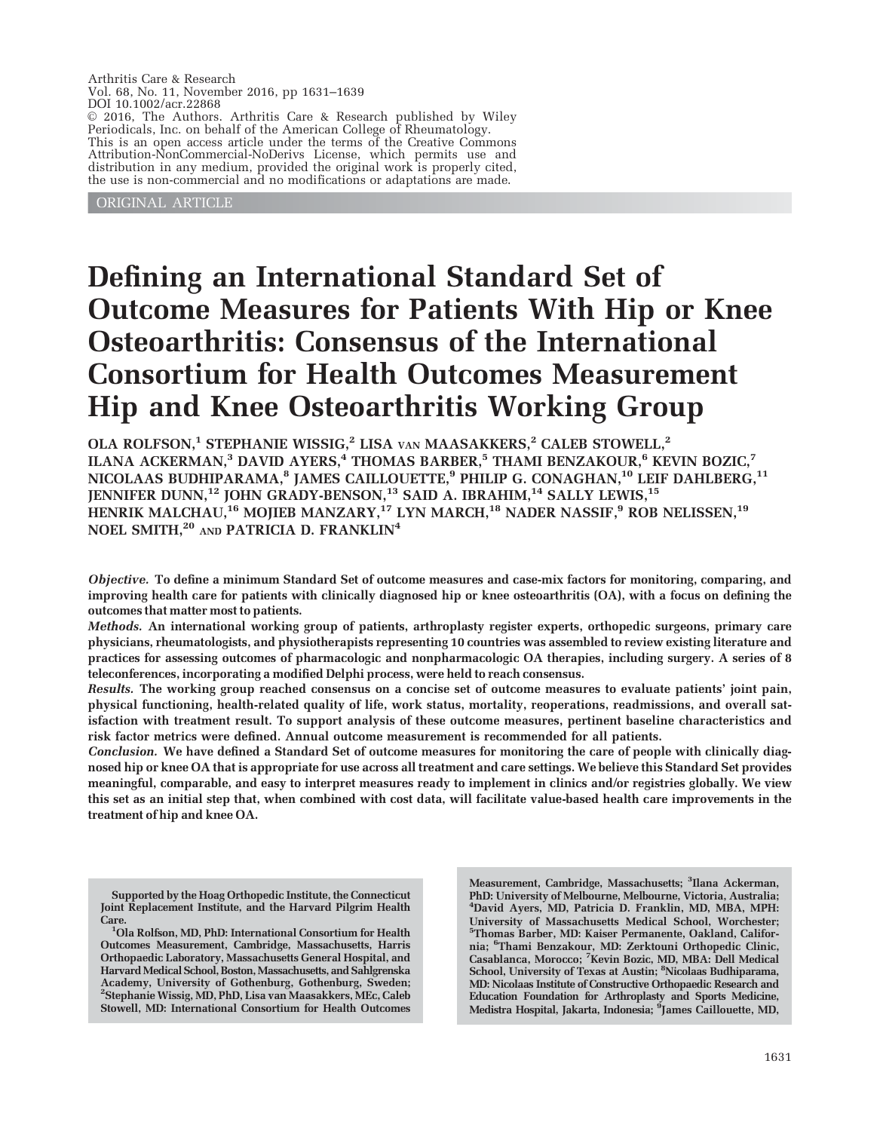Arthritis Care & Research Vol. 68, No. 11, November 2016, pp 1631–1639 DOI 10.1002/acr.22868  $© 2016$ , The Authors. Arthritis Care & Research published by Wiley Periodicals, Inc. on behalf of the American College of Rheumatology. This is an open access article under the terms of the [Creative Commons](http://creativecommons.org/licenses/by-nc-nd/4.0/) [Attribution-NonCommercial-NoDerivs](http://creativecommons.org/licenses/by-nc-nd/4.0/) License, which permits use and distribution in any medium, provided the original work is properly cited, the use is non-commercial and no modifications or adaptations are made.

ORIGINAL ARTICLE

# Defining an International Standard Set of Outcome Measures for Patients With Hip or Knee Osteoarthritis: Consensus of the International Consortium for Health Outcomes Measurement Hip and Knee Osteoarthritis Working Group

OLA ROLFSON,<sup>1</sup> STEPHANIE WISSIG,<sup>2</sup> LISA VAN MAASAKKERS,<sup>2</sup> CALEB STOWELL,<sup>2</sup> ILANA ACKERMAN,<sup>3</sup> DAVID AYERS,<sup>4</sup> THOMAS BARBER,<sup>5</sup> THAMI BENZAKOUR,<sup>6</sup> KEVIN BOZIC,<sup>7</sup> NICOLAAS BUDHIPARAMA, $^{\rm 8}$  JAMES CAILLOUETTE, $^{\rm 9}$  PHILIP G. CONAGHAN, $^{\rm 10}$  LEIF DAHLBERG, $^{\rm 11}$ JENNIFER DUNN,<sup>12</sup> JOHN GRADY-BENSON,<sup>13</sup> SAID A. IBRAHIM,<sup>14</sup> SALLY LEWIS,<sup>15</sup> HENRIK MALCHAU,<sup>16</sup> MOJIEB MANZARY,<sup>17</sup> LYN MARCH,<sup>18</sup> NADER NASSIF,<sup>9</sup> ROB NELISSEN,<sup>19</sup> NOEL SMITH,<sup>20</sup> AND PATRICIA D. FRANKLIN<sup>4</sup>

Objective. To define a minimum Standard Set of outcome measures and case-mix factors for monitoring, comparing, and improving health care for patients with clinically diagnosed hip or knee osteoarthritis (OA), with a focus on defining the outcomes that matter most to patients.

Methods. An international working group of patients, arthroplasty register experts, orthopedic surgeons, primary care physicians, rheumatologists, and physiotherapists representing 10 countries was assembled to review existing literature and practices for assessing outcomes of pharmacologic and nonpharmacologic OA therapies, including surgery. A series of 8 teleconferences, incorporating a modified Delphi process, were held to reach consensus.

Results. The working group reached consensus on a concise set of outcome measures to evaluate patients' joint pain, physical functioning, health-related quality of life, work status, mortality, reoperations, readmissions, and overall satisfaction with treatment result. To support analysis of these outcome measures, pertinent baseline characteristics and risk factor metrics were defined. Annual outcome measurement is recommended for all patients.

Conclusion. We have defined a Standard Set of outcome measures for monitoring the care of people with clinically diagnosed hip or knee OA that is appropriate for use across all treatment and care settings. We believe this Standard Set provides meaningful, comparable, and easy to interpret measures ready to implement in clinics and/or registries globally. We view this set as an initial step that, when combined with cost data, will facilitate value-based health care improvements in the treatment of hip and knee OA.

Measurement, Cambridge, Massachusetts; <sup>3</sup>Ilana Ackerman, PhD: University of Melbourne, Melbourne, Victoria, Australia; <sup>4</sup> David Ayers, MD, Patricia D. Franklin, MD, MBA, MPH: University of Massachusetts Medical School, Worchester; 5 Thomas Barber, MD: Kaiser Permanente, Oakland, California; <sup>6</sup> Thami Benzakour, MD: Zerktouni Orthopedic Clinic, Casablanca, Morocco; <sup>7</sup>Kevin Bozic, MD, MBA: Dell Medical School, University of Texas at Austin; <sup>8</sup>Nicolaas Budhiparama, MD: Nicolaas Institute of Constructive Orthopaedic Research and Education Foundation for Arthroplasty and Sports Medicine, Medistra Hospital, Jakarta, Indonesia; <sup>s</sup>James Caillouette, MD,

Supported by the Hoag Orthopedic Institute, the Connecticut Joint Replacement Institute, and the Harvard Pilgrim Health Care.

Ola Rolfson, MD, PhD: International Consortium for Health Outcomes Measurement, Cambridge, Massachusetts, Harris Orthopaedic Laboratory, Massachusetts General Hospital, and Harvard Medical School, Boston, Massachusetts, and Sahlgrenska Academy, University of Gothenburg, Gothenburg, Sweden; 2 Stephanie Wissig, MD, PhD, Lisa van Maasakkers, MEc, Caleb Stowell, MD: International Consortium for Health Outcomes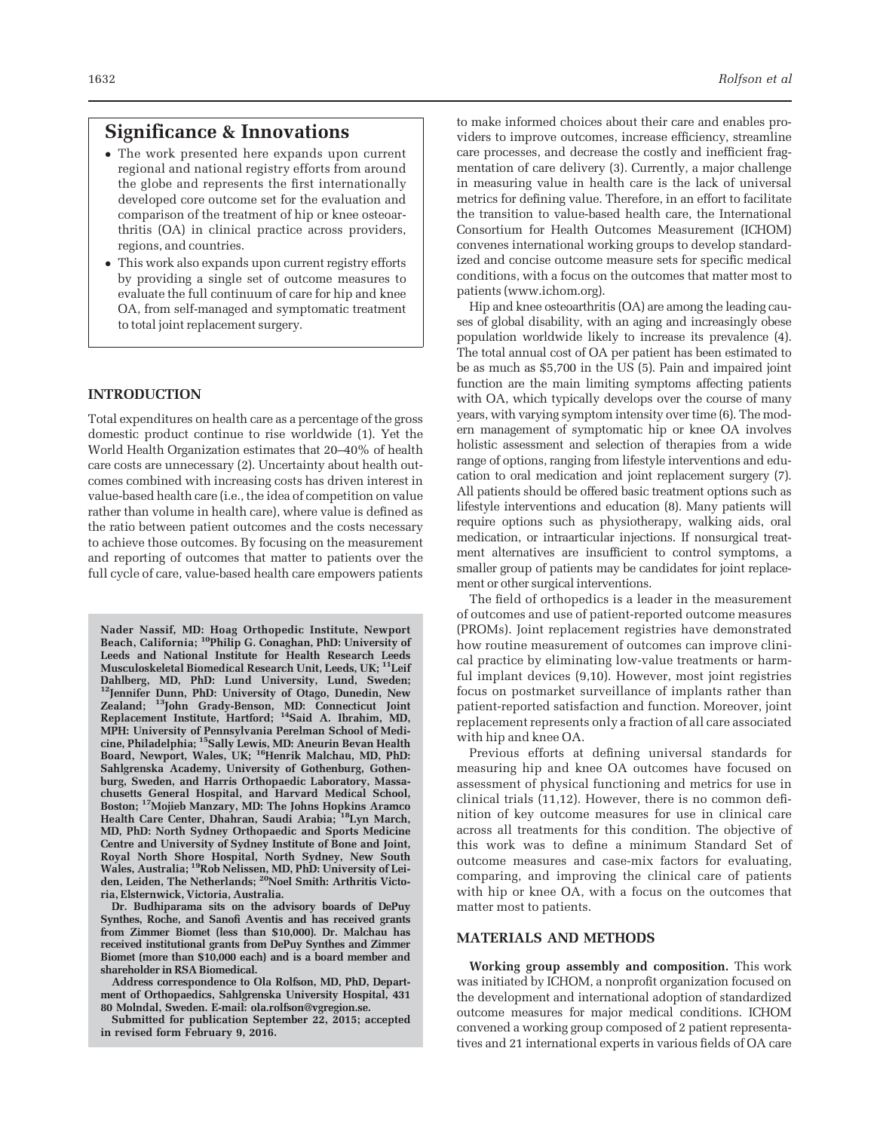# Significance & Innovations

- The work presented here expands upon current regional and national registry efforts from around the globe and represents the first internationally developed core outcome set for the evaluation and comparison of the treatment of hip or knee osteoarthritis (OA) in clinical practice across providers, regions, and countries.
- This work also expands upon current registry efforts by providing a single set of outcome measures to evaluate the full continuum of care for hip and knee OA, from self-managed and symptomatic treatment to total joint replacement surgery.

# **INTRODUCTION**

Total expenditures on health care as a percentage of the gross domestic product continue to rise worldwide (1). Yet the World Health Organization estimates that 20–40% of health care costs are unnecessary (2). Uncertainty about health outcomes combined with increasing costs has driven interest in value-based health care (i.e., the idea of competition on value rather than volume in health care), where value is defined as the ratio between patient outcomes and the costs necessary to achieve those outcomes. By focusing on the measurement and reporting of outcomes that matter to patients over the full cycle of care, value-based health care empowers patients

Nader Nassif, MD: Hoag Orthopedic Institute, Newport Beach, California; 10Philip G. Conaghan, PhD: University of Leeds and National Institute for Health Research Leeds Musculoskeletal Biomedical Research Unit, Leeds, UK; <sup>11</sup>Leif Dahlberg, MD, PhD: Lund University, Lund, Sweden; 12Jennifer Dunn, PhD: University of Otago, Dunedin, New Zealand; <sup>13</sup>John Grady-Benson, MD: Connecticut Joint Replacement Institute, Hartford; 14Said A. Ibrahim, MD, MPH: University of Pennsylvania Perelman School of Medicine, Philadelphia; 15Sally Lewis, MD: Aneurin Bevan Health Board, Newport, Wales, UK; <sup>16</sup>Henrik Malchau, MD, PhD: Sahlgrenska Academy, University of Gothenburg, Gothenburg, Sweden, and Harris Orthopaedic Laboratory, Massachusetts General Hospital, and Harvard Medical School, Boston; 17Mojieb Manzary, MD: The Johns Hopkins Aramco Health Care Center, Dhahran, Saudi Arabia; <sup>18</sup>Lyn March, MD, PhD: North Sydney Orthopaedic and Sports Medicine Centre and University of Sydney Institute of Bone and Joint, Royal North Shore Hospital, North Sydney, New South Wales, Australia; 19Rob Nelissen, MD, PhD: University of Leiden, Leiden, The Netherlands; <sup>20</sup>Noel Smith: Arthritis Victoria, Elsternwick, Victoria, Australia.

Dr. Budhiparama sits on the advisory boards of DePuy Synthes, Roche, and Sanofi Aventis and has received grants from Zimmer Biomet (less than \$10,000). Dr. Malchau has received institutional grants from DePuy Synthes and Zimmer Biomet (more than \$10,000 each) and is a board member and shareholder in RSA Biomedical.

Address correspondence to Ola Rolfson, MD, PhD, Department of Orthopaedics, Sahlgrenska University Hospital, 431 80 Molndal, Sweden. E-mail: ola.rolfson@vgregion.se.

Submitted for publication September 22, 2015; accepted in revised form February 9, 2016.

to make informed choices about their care and enables providers to improve outcomes, increase efficiency, streamline care processes, and decrease the costly and inefficient fragmentation of care delivery (3). Currently, a major challenge in measuring value in health care is the lack of universal metrics for defining value. Therefore, in an effort to facilitate the transition to value-based health care, the International Consortium for Health Outcomes Measurement (ICHOM) convenes international working groups to develop standardized and concise outcome measure sets for specific medical conditions, with a focus on the outcomes that matter most to patients ([www.ichom.org](http://www.ichom.org)).

Hip and knee osteoarthritis (OA) are among the leading causes of global disability, with an aging and increasingly obese population worldwide likely to increase its prevalence (4). The total annual cost of OA per patient has been estimated to be as much as \$5,700 in the US (5). Pain and impaired joint function are the main limiting symptoms affecting patients with OA, which typically develops over the course of many years, with varying symptom intensity over time (6). The modern management of symptomatic hip or knee OA involves holistic assessment and selection of therapies from a wide range of options, ranging from lifestyle interventions and education to oral medication and joint replacement surgery (7). All patients should be offered basic treatment options such as lifestyle interventions and education (8). Many patients will require options such as physiotherapy, walking aids, oral medication, or intraarticular injections. If nonsurgical treatment alternatives are insufficient to control symptoms, a smaller group of patients may be candidates for joint replacement or other surgical interventions.

The field of orthopedics is a leader in the measurement of outcomes and use of patient-reported outcome measures (PROMs). Joint replacement registries have demonstrated how routine measurement of outcomes can improve clinical practice by eliminating low-value treatments or harmful implant devices (9,10). However, most joint registries focus on postmarket surveillance of implants rather than patient-reported satisfaction and function. Moreover, joint replacement represents only a fraction of all care associated with hip and knee OA.

Previous efforts at defining universal standards for measuring hip and knee OA outcomes have focused on assessment of physical functioning and metrics for use in clinical trials (11,12). However, there is no common definition of key outcome measures for use in clinical care across all treatments for this condition. The objective of this work was to define a minimum Standard Set of outcome measures and case-mix factors for evaluating, comparing, and improving the clinical care of patients with hip or knee OA, with a focus on the outcomes that matter most to patients.

#### MATERIALS AND METHODS

Working group assembly and composition. This work was initiated by ICHOM, a nonprofit organization focused on the development and international adoption of standardized outcome measures for major medical conditions. ICHOM convened a working group composed of 2 patient representatives and 21 international experts in various fields of OA care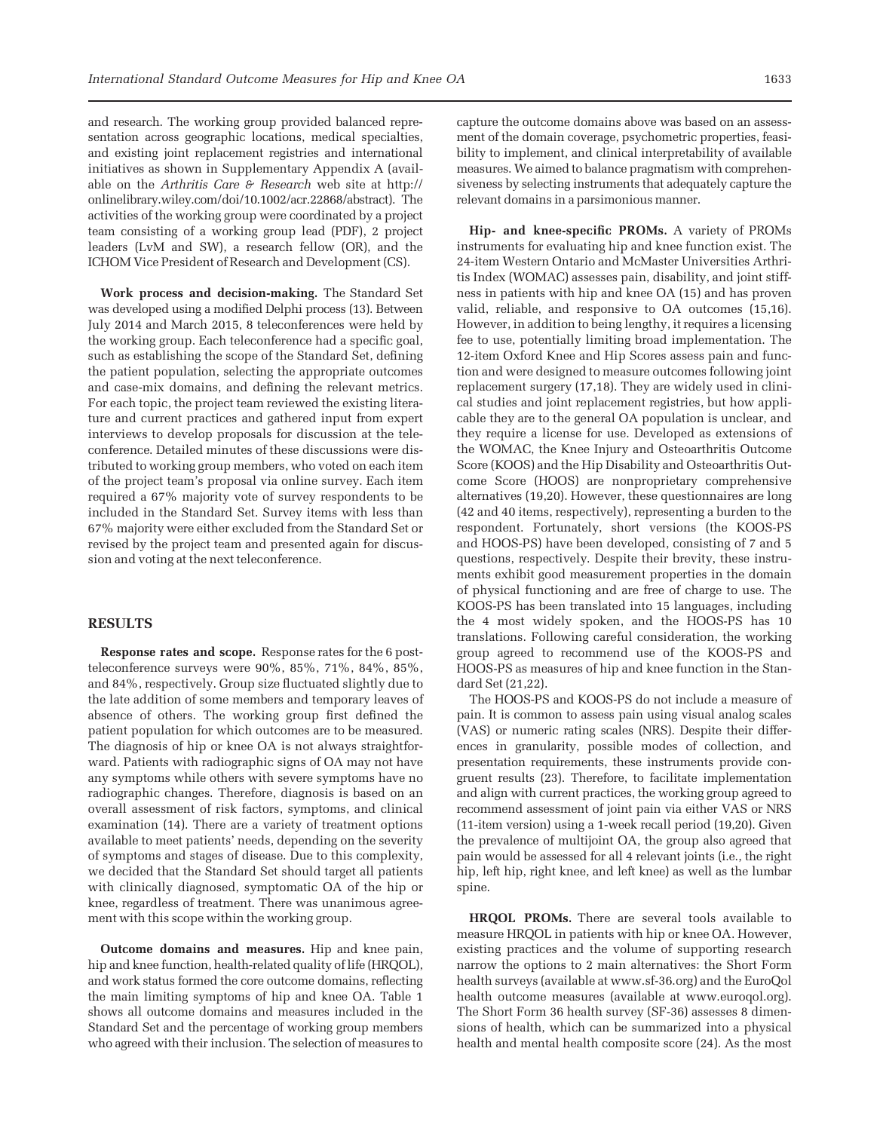and research. The working group provided balanced representation across geographic locations, medical specialties, and existing joint replacement registries and international initiatives as shown in Supplementary Appendix A (available on the Arthritis Care  $\mathcal F$  Research web site at [http://](http://onlinelibrary.wiley.com/doi/10.1002/acr.22868/abstract) [onlinelibrary.wiley.com/doi/10.1002/acr.22868/abstract](http://onlinelibrary.wiley.com/doi/10.1002/acr.22868/abstract)). The activities of the working group were coordinated by a project team consisting of a working group lead (PDF), 2 project leaders (LvM and SW), a research fellow (OR), and the ICHOM Vice President of Research and Development (CS).

Work process and decision-making. The Standard Set was developed using a modified Delphi process (13). Between July 2014 and March 2015, 8 teleconferences were held by the working group. Each teleconference had a specific goal, such as establishing the scope of the Standard Set, defining the patient population, selecting the appropriate outcomes and case-mix domains, and defining the relevant metrics. For each topic, the project team reviewed the existing literature and current practices and gathered input from expert interviews to develop proposals for discussion at the teleconference. Detailed minutes of these discussions were distributed to working group members, who voted on each item of the project team's proposal via online survey. Each item required a 67% majority vote of survey respondents to be included in the Standard Set. Survey items with less than 67% majority were either excluded from the Standard Set or revised by the project team and presented again for discussion and voting at the next teleconference.

## **RESULTS**

Response rates and scope. Response rates for the 6 postteleconference surveys were 90%, 85%, 71%, 84%, 85%, and 84%, respectively. Group size fluctuated slightly due to the late addition of some members and temporary leaves of absence of others. The working group first defined the patient population for which outcomes are to be measured. The diagnosis of hip or knee OA is not always straightforward. Patients with radiographic signs of OA may not have any symptoms while others with severe symptoms have no radiographic changes. Therefore, diagnosis is based on an overall assessment of risk factors, symptoms, and clinical examination (14). There are a variety of treatment options available to meet patients' needs, depending on the severity of symptoms and stages of disease. Due to this complexity, we decided that the Standard Set should target all patients with clinically diagnosed, symptomatic OA of the hip or knee, regardless of treatment. There was unanimous agreement with this scope within the working group.

Outcome domains and measures. Hip and knee pain, hip and knee function, health-related quality of life (HRQOL), and work status formed the core outcome domains, reflecting the main limiting symptoms of hip and knee OA. Table 1 shows all outcome domains and measures included in the Standard Set and the percentage of working group members who agreed with their inclusion. The selection of measures to

capture the outcome domains above was based on an assessment of the domain coverage, psychometric properties, feasibility to implement, and clinical interpretability of available measures. We aimed to balance pragmatism with comprehensiveness by selecting instruments that adequately capture the relevant domains in a parsimonious manner.

Hip- and knee-specific PROMs. A variety of PROMs instruments for evaluating hip and knee function exist. The 24-item Western Ontario and McMaster Universities Arthritis Index (WOMAC) assesses pain, disability, and joint stiffness in patients with hip and knee OA (15) and has proven valid, reliable, and responsive to OA outcomes (15,16). However, in addition to being lengthy, it requires a licensing fee to use, potentially limiting broad implementation. The 12-item Oxford Knee and Hip Scores assess pain and function and were designed to measure outcomes following joint replacement surgery (17,18). They are widely used in clinical studies and joint replacement registries, but how applicable they are to the general OA population is unclear, and they require a license for use. Developed as extensions of the WOMAC, the Knee Injury and Osteoarthritis Outcome Score (KOOS) and the Hip Disability and Osteoarthritis Outcome Score (HOOS) are nonproprietary comprehensive alternatives (19,20). However, these questionnaires are long (42 and 40 items, respectively), representing a burden to the respondent. Fortunately, short versions (the KOOS-PS and HOOS-PS) have been developed, consisting of 7 and 5 questions, respectively. Despite their brevity, these instruments exhibit good measurement properties in the domain of physical functioning and are free of charge to use. The KOOS-PS has been translated into 15 languages, including the 4 most widely spoken, and the HOOS-PS has 10 translations. Following careful consideration, the working group agreed to recommend use of the KOOS-PS and HOOS-PS as measures of hip and knee function in the Standard Set (21,22).

The HOOS-PS and KOOS-PS do not include a measure of pain. It is common to assess pain using visual analog scales (VAS) or numeric rating scales (NRS). Despite their differences in granularity, possible modes of collection, and presentation requirements, these instruments provide congruent results (23). Therefore, to facilitate implementation and align with current practices, the working group agreed to recommend assessment of joint pain via either VAS or NRS (11-item version) using a 1-week recall period (19,20). Given the prevalence of multijoint OA, the group also agreed that pain would be assessed for all 4 relevant joints (i.e., the right hip, left hip, right knee, and left knee) as well as the lumbar spine.

HRQOL PROMs. There are several tools available to measure HRQOL in patients with hip or knee OA. However, existing practices and the volume of supporting research narrow the options to 2 main alternatives: the Short Form health surveys (available at [www.sf-36.org](http://www.sf-36.org)) and the EuroQol health outcome measures (available at [www.euroqol.org\)](http://www.euroqol.org). The Short Form 36 health survey (SF-36) assesses 8 dimensions of health, which can be summarized into a physical health and mental health composite score (24). As the most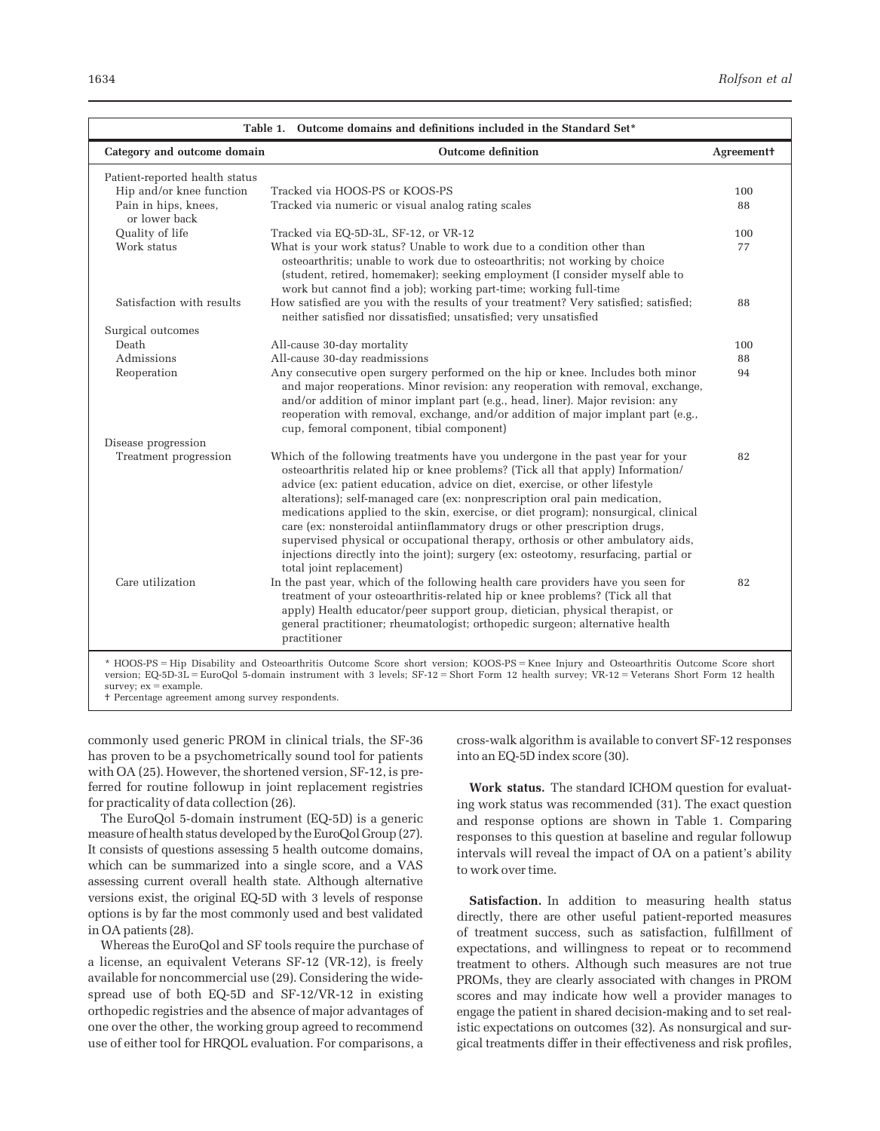| Table 1. Outcome domains and definitions included in the Standard Set* |                                                                                                                                                                                                                                                                                                                                                                                                                                                                                                                                                                                                                                                                                                           |                    |  |
|------------------------------------------------------------------------|-----------------------------------------------------------------------------------------------------------------------------------------------------------------------------------------------------------------------------------------------------------------------------------------------------------------------------------------------------------------------------------------------------------------------------------------------------------------------------------------------------------------------------------------------------------------------------------------------------------------------------------------------------------------------------------------------------------|--------------------|--|
| Category and outcome domain                                            | <b>Outcome definition</b>                                                                                                                                                                                                                                                                                                                                                                                                                                                                                                                                                                                                                                                                                 | <b>Agreement</b> † |  |
| Patient-reported health status                                         |                                                                                                                                                                                                                                                                                                                                                                                                                                                                                                                                                                                                                                                                                                           |                    |  |
| Hip and/or knee function                                               | Tracked via HOOS-PS or KOOS-PS                                                                                                                                                                                                                                                                                                                                                                                                                                                                                                                                                                                                                                                                            | 100                |  |
| Pain in hips, knees,<br>or lower back                                  | Tracked via numeric or visual analog rating scales                                                                                                                                                                                                                                                                                                                                                                                                                                                                                                                                                                                                                                                        | 88                 |  |
| Quality of life                                                        | Tracked via EQ-5D-3L, SF-12, or VR-12                                                                                                                                                                                                                                                                                                                                                                                                                                                                                                                                                                                                                                                                     | 100                |  |
| Work status                                                            | What is your work status? Unable to work due to a condition other than<br>osteoarthritis; unable to work due to osteoarthritis; not working by choice<br>(student, retired, homemaker); seeking employment (I consider myself able to<br>work but cannot find a job); working part-time; working full-time                                                                                                                                                                                                                                                                                                                                                                                                | 77                 |  |
| Satisfaction with results                                              | How satisfied are you with the results of your treatment? Very satisfied; satisfied;<br>neither satisfied nor dissatisfied; unsatisfied; very unsatisfied                                                                                                                                                                                                                                                                                                                                                                                                                                                                                                                                                 | 88                 |  |
| Surgical outcomes                                                      |                                                                                                                                                                                                                                                                                                                                                                                                                                                                                                                                                                                                                                                                                                           |                    |  |
| Death                                                                  | All-cause 30-day mortality                                                                                                                                                                                                                                                                                                                                                                                                                                                                                                                                                                                                                                                                                | 100                |  |
| Admissions                                                             | All-cause 30-day readmissions                                                                                                                                                                                                                                                                                                                                                                                                                                                                                                                                                                                                                                                                             | 88                 |  |
| Reoperation                                                            | Any consecutive open surgery performed on the hip or knee. Includes both minor<br>and major reoperations. Minor revision: any reoperation with removal, exchange,<br>and/or addition of minor implant part (e.g., head, liner). Major revision: any<br>reoperation with removal, exchange, and/or addition of major implant part (e.g.,<br>cup, femoral component, tibial component)                                                                                                                                                                                                                                                                                                                      | 94                 |  |
| Disease progression                                                    |                                                                                                                                                                                                                                                                                                                                                                                                                                                                                                                                                                                                                                                                                                           |                    |  |
| Treatment progression                                                  | Which of the following treatments have you undergone in the past year for your<br>osteoarthritis related hip or knee problems? (Tick all that apply) Information/<br>advice (ex: patient education, advice on diet, exercise, or other lifestyle<br>alterations); self-managed care (ex: nonprescription oral pain medication,<br>medications applied to the skin, exercise, or diet program); nonsurgical, clinical<br>care (ex: nonsteroidal antiinflammatory drugs or other prescription drugs,<br>supervised physical or occupational therapy, orthosis or other ambulatory aids,<br>injections directly into the joint); surgery (ex: osteotomy, resurfacing, partial or<br>total joint replacement) | 82                 |  |
| Care utilization                                                       | In the past year, which of the following health care providers have you seen for<br>treatment of your osteoarthritis-related hip or knee problems? (Tick all that<br>apply) Health educator/peer support group, dietician, physical therapist, or<br>general practitioner; rheumatologist; orthopedic surgeon; alternative health<br>practitioner                                                                                                                                                                                                                                                                                                                                                         | 82                 |  |
| survey; $ex = example$ .                                               | * HOOS-PS = Hip Disability and Osteoarthritis Outcome Score short version; KOOS-PS = Knee Injury and Osteoarthritis Outcome Score short<br>version; EQ-5D-3L = EuroQol 5-domain instrument with 3 levels; SF-12 = Short Form 12 health survey; VR-12 = Veterans Short Form 12 health                                                                                                                                                                                                                                                                                                                                                                                                                      |                    |  |

† Percentage agreement among survey respondents.

commonly used generic PROM in clinical trials, the SF-36 has proven to be a psychometrically sound tool for patients with OA (25). However, the shortened version, SF-12, is preferred for routine followup in joint replacement registries for practicality of data collection (26).

The EuroQol 5-domain instrument (EQ-5D) is a generic measure of health status developed by the EuroQol Group (27). It consists of questions assessing 5 health outcome domains, which can be summarized into a single score, and a VAS assessing current overall health state. Although alternative versions exist, the original EQ-5D with 3 levels of response options is by far the most commonly used and best validated in OA patients (28).

Whereas the EuroQol and SF tools require the purchase of a license, an equivalent Veterans SF-12 (VR-12), is freely available for noncommercial use (29). Considering the widespread use of both EQ-5D and SF-12/VR-12 in existing orthopedic registries and the absence of major advantages of one over the other, the working group agreed to recommend use of either tool for HRQOL evaluation. For comparisons, a

cross-walk algorithm is available to convert SF-12 responses into an EQ-5D index score (30).

Work status. The standard ICHOM question for evaluating work status was recommended (31). The exact question and response options are shown in Table 1. Comparing responses to this question at baseline and regular followup intervals will reveal the impact of OA on a patient's ability to work over time.

Satisfaction. In addition to measuring health status directly, there are other useful patient-reported measures of treatment success, such as satisfaction, fulfillment of expectations, and willingness to repeat or to recommend treatment to others. Although such measures are not true PROMs, they are clearly associated with changes in PROM scores and may indicate how well a provider manages to engage the patient in shared decision-making and to set realistic expectations on outcomes (32). As nonsurgical and surgical treatments differ in their effectiveness and risk profiles,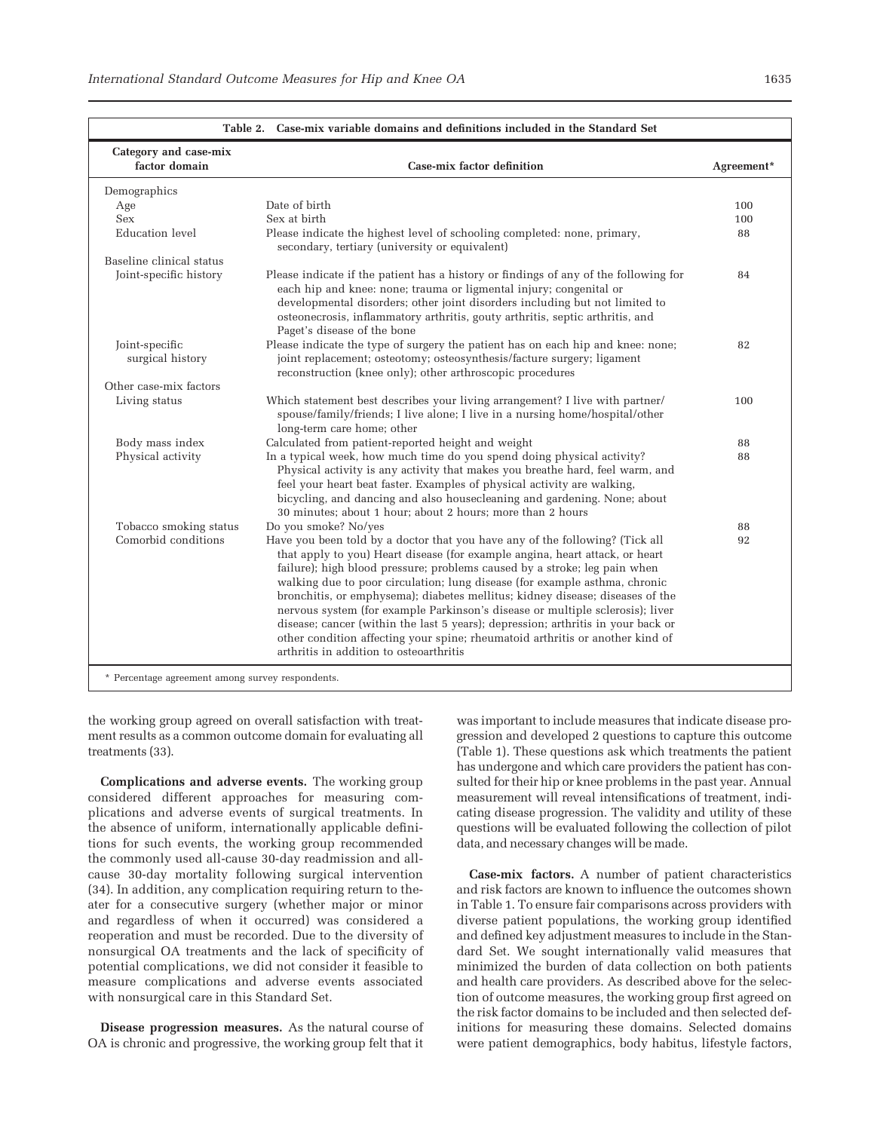| Table 2. Case-mix variable domains and definitions included in the Standard Set |                                                                                                                                                                                                                                                                                                                                                                                                                                                                                                                                                                                                                                                                                                           |            |  |
|---------------------------------------------------------------------------------|-----------------------------------------------------------------------------------------------------------------------------------------------------------------------------------------------------------------------------------------------------------------------------------------------------------------------------------------------------------------------------------------------------------------------------------------------------------------------------------------------------------------------------------------------------------------------------------------------------------------------------------------------------------------------------------------------------------|------------|--|
| Category and case-mix<br>factor domain                                          | Case-mix factor definition                                                                                                                                                                                                                                                                                                                                                                                                                                                                                                                                                                                                                                                                                | Agreement* |  |
| Demographics                                                                    |                                                                                                                                                                                                                                                                                                                                                                                                                                                                                                                                                                                                                                                                                                           |            |  |
| Age                                                                             | Date of birth                                                                                                                                                                                                                                                                                                                                                                                                                                                                                                                                                                                                                                                                                             | 100        |  |
| Sex                                                                             | Sex at birth                                                                                                                                                                                                                                                                                                                                                                                                                                                                                                                                                                                                                                                                                              | 100        |  |
| Education level                                                                 | Please indicate the highest level of schooling completed: none, primary,<br>secondary, tertiary (university or equivalent)                                                                                                                                                                                                                                                                                                                                                                                                                                                                                                                                                                                | 88         |  |
| Baseline clinical status                                                        |                                                                                                                                                                                                                                                                                                                                                                                                                                                                                                                                                                                                                                                                                                           |            |  |
| Joint-specific history                                                          | Please indicate if the patient has a history or findings of any of the following for<br>each hip and knee: none; trauma or ligmental injury; congenital or<br>developmental disorders; other joint disorders including but not limited to<br>osteonecrosis, inflammatory arthritis, gouty arthritis, septic arthritis, and<br>Paget's disease of the bone                                                                                                                                                                                                                                                                                                                                                 | 84         |  |
| Joint-specific                                                                  | Please indicate the type of surgery the patient has on each hip and knee: none;                                                                                                                                                                                                                                                                                                                                                                                                                                                                                                                                                                                                                           | 82         |  |
| surgical history                                                                | joint replacement; osteotomy; osteosynthesis/facture surgery; ligament<br>reconstruction (knee only); other arthroscopic procedures                                                                                                                                                                                                                                                                                                                                                                                                                                                                                                                                                                       |            |  |
| Other case-mix factors                                                          |                                                                                                                                                                                                                                                                                                                                                                                                                                                                                                                                                                                                                                                                                                           |            |  |
| Living status                                                                   | Which statement best describes your living arrangement? I live with partner/<br>spouse/family/friends; I live alone; I live in a nursing home/hospital/other<br>long-term care home; other                                                                                                                                                                                                                                                                                                                                                                                                                                                                                                                | 100        |  |
| Body mass index                                                                 | Calculated from patient-reported height and weight                                                                                                                                                                                                                                                                                                                                                                                                                                                                                                                                                                                                                                                        | 88         |  |
| Physical activity                                                               | In a typical week, how much time do you spend doing physical activity?<br>Physical activity is any activity that makes you breathe hard, feel warm, and<br>feel your heart beat faster. Examples of physical activity are walking,<br>bicycling, and dancing and also housecleaning and gardening. None; about<br>30 minutes; about 1 hour; about 2 hours; more than 2 hours                                                                                                                                                                                                                                                                                                                              | 88         |  |
| Tobacco smoking status                                                          | Do you smoke? No/yes                                                                                                                                                                                                                                                                                                                                                                                                                                                                                                                                                                                                                                                                                      | 88         |  |
| Comorbid conditions                                                             | Have you been told by a doctor that you have any of the following? (Tick all<br>that apply to you) Heart disease (for example angina, heart attack, or heart<br>failure); high blood pressure; problems caused by a stroke; leg pain when<br>walking due to poor circulation; lung disease (for example asthma, chronic<br>bronchitis, or emphysema); diabetes mellitus; kidney disease; diseases of the<br>nervous system (for example Parkinson's disease or multiple sclerosis); liver<br>disease; cancer (within the last 5 years); depression; arthritis in your back or<br>other condition affecting your spine; rheumatoid arthritis or another kind of<br>arthritis in addition to osteoarthritis | 92         |  |

the working group agreed on overall satisfaction with treatment results as a common outcome domain for evaluating all treatments (33).

Complications and adverse events. The working group considered different approaches for measuring complications and adverse events of surgical treatments. In the absence of uniform, internationally applicable definitions for such events, the working group recommended the commonly used all-cause 30-day readmission and allcause 30-day mortality following surgical intervention (34). In addition, any complication requiring return to theater for a consecutive surgery (whether major or minor and regardless of when it occurred) was considered a reoperation and must be recorded. Due to the diversity of nonsurgical OA treatments and the lack of specificity of potential complications, we did not consider it feasible to measure complications and adverse events associated with nonsurgical care in this Standard Set.

Disease progression measures. As the natural course of OA is chronic and progressive, the working group felt that it

was important to include measures that indicate disease progression and developed 2 questions to capture this outcome (Table 1). These questions ask which treatments the patient has undergone and which care providers the patient has consulted for their hip or knee problems in the past year. Annual measurement will reveal intensifications of treatment, indicating disease progression. The validity and utility of these questions will be evaluated following the collection of pilot data, and necessary changes will be made.

Case-mix factors. A number of patient characteristics and risk factors are known to influence the outcomes shown in Table 1. To ensure fair comparisons across providers with diverse patient populations, the working group identified and defined key adjustment measures to include in the Standard Set. We sought internationally valid measures that minimized the burden of data collection on both patients and health care providers. As described above for the selection of outcome measures, the working group first agreed on the risk factor domains to be included and then selected definitions for measuring these domains. Selected domains were patient demographics, body habitus, lifestyle factors,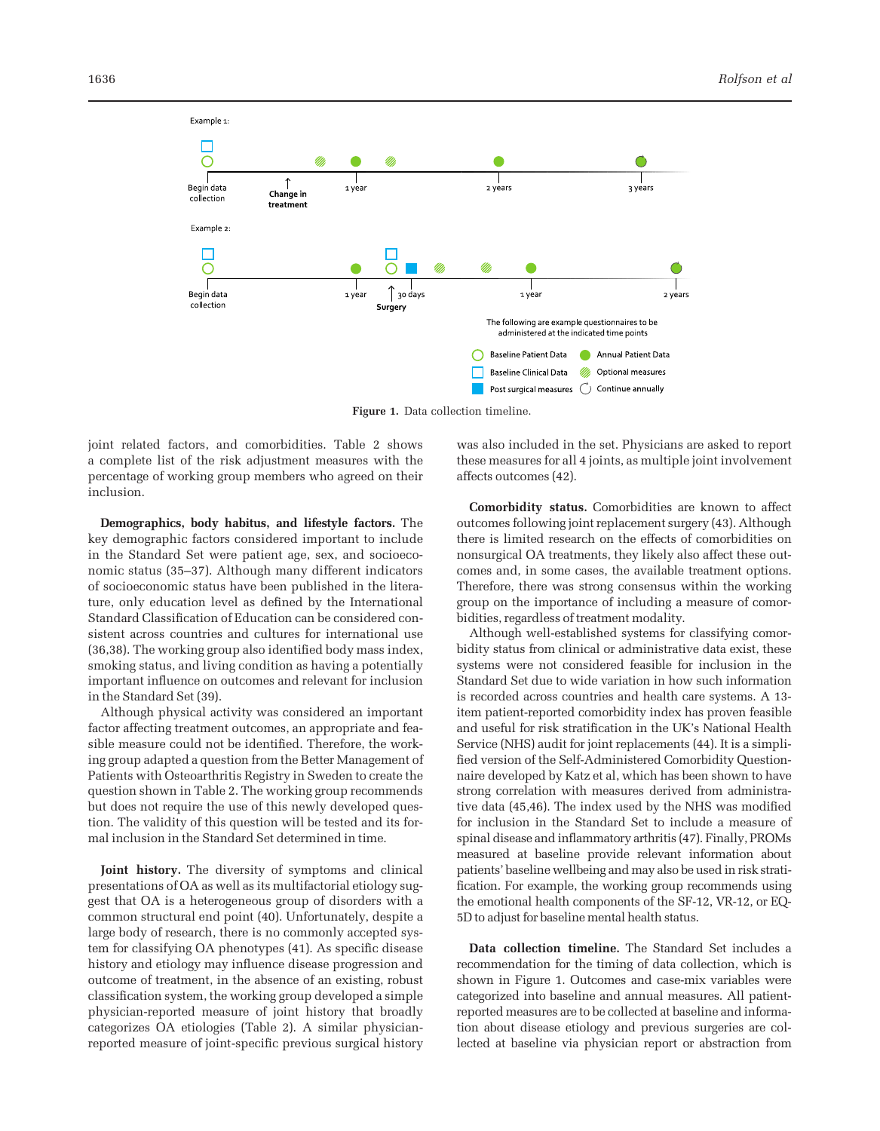

Figure 1. Data collection timeline.

joint related factors, and comorbidities. Table 2 shows a complete list of the risk adjustment measures with the percentage of working group members who agreed on their inclusion.

Demographics, body habitus, and lifestyle factors. The key demographic factors considered important to include in the Standard Set were patient age, sex, and socioeconomic status (35–37). Although many different indicators of socioeconomic status have been published in the literature, only education level as defined by the International Standard Classification of Education can be considered consistent across countries and cultures for international use (36,38). The working group also identified body mass index, smoking status, and living condition as having a potentially important influence on outcomes and relevant for inclusion in the Standard Set (39).

Although physical activity was considered an important factor affecting treatment outcomes, an appropriate and feasible measure could not be identified. Therefore, the working group adapted a question from the Better Management of Patients with Osteoarthritis Registry in Sweden to create the question shown in Table 2. The working group recommends but does not require the use of this newly developed question. The validity of this question will be tested and its formal inclusion in the Standard Set determined in time.

Joint history. The diversity of symptoms and clinical presentations of OA as well as its multifactorial etiology suggest that OA is a heterogeneous group of disorders with a common structural end point (40). Unfortunately, despite a large body of research, there is no commonly accepted system for classifying OA phenotypes (41). As specific disease history and etiology may influence disease progression and outcome of treatment, in the absence of an existing, robust classification system, the working group developed a simple physician-reported measure of joint history that broadly categorizes OA etiologies (Table 2). A similar physicianreported measure of joint-specific previous surgical history

was also included in the set. Physicians are asked to report these measures for all 4 joints, as multiple joint involvement affects outcomes (42).

Comorbidity status. Comorbidities are known to affect outcomes following joint replacement surgery (43). Although there is limited research on the effects of comorbidities on nonsurgical OA treatments, they likely also affect these outcomes and, in some cases, the available treatment options. Therefore, there was strong consensus within the working group on the importance of including a measure of comorbidities, regardless of treatment modality.

Although well-established systems for classifying comorbidity status from clinical or administrative data exist, these systems were not considered feasible for inclusion in the Standard Set due to wide variation in how such information is recorded across countries and health care systems. A 13 item patient-reported comorbidity index has proven feasible and useful for risk stratification in the UK's National Health Service (NHS) audit for joint replacements (44). It is a simplified version of the Self-Administered Comorbidity Questionnaire developed by Katz et al, which has been shown to have strong correlation with measures derived from administrative data (45,46). The index used by the NHS was modified for inclusion in the Standard Set to include a measure of spinal disease and inflammatory arthritis (47). Finally, PROMs measured at baseline provide relevant information about patients' baseline wellbeing and may also be used in risk stratification. For example, the working group recommends using the emotional health components of the SF-12, VR-12, or EQ-5D to adjust for baseline mental health status.

Data collection timeline. The Standard Set includes a recommendation for the timing of data collection, which is shown in Figure 1. Outcomes and case-mix variables were categorized into baseline and annual measures. All patientreported measures are to be collected at baseline and information about disease etiology and previous surgeries are collected at baseline via physician report or abstraction from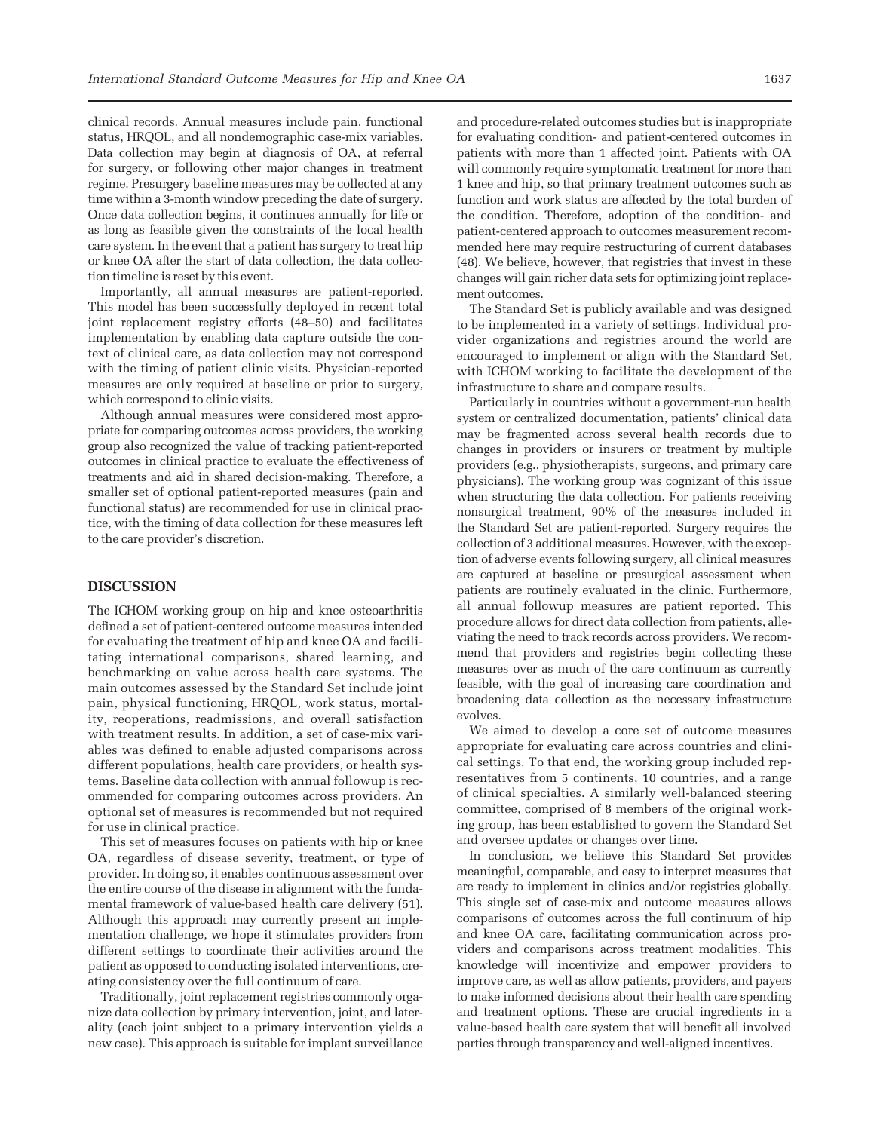clinical records. Annual measures include pain, functional status, HRQOL, and all nondemographic case-mix variables. Data collection may begin at diagnosis of OA, at referral for surgery, or following other major changes in treatment regime. Presurgery baseline measures may be collected at any time within a 3-month window preceding the date of surgery. Once data collection begins, it continues annually for life or as long as feasible given the constraints of the local health care system. In the event that a patient has surgery to treat hip or knee OA after the start of data collection, the data collection timeline is reset by this event.

Importantly, all annual measures are patient-reported. This model has been successfully deployed in recent total joint replacement registry efforts (48–50) and facilitates implementation by enabling data capture outside the context of clinical care, as data collection may not correspond with the timing of patient clinic visits. Physician-reported measures are only required at baseline or prior to surgery, which correspond to clinic visits.

Although annual measures were considered most appropriate for comparing outcomes across providers, the working group also recognized the value of tracking patient-reported outcomes in clinical practice to evaluate the effectiveness of treatments and aid in shared decision-making. Therefore, a smaller set of optional patient-reported measures (pain and functional status) are recommended for use in clinical practice, with the timing of data collection for these measures left to the care provider's discretion.

### DISCUSSION

The ICHOM working group on hip and knee osteoarthritis defined a set of patient-centered outcome measures intended for evaluating the treatment of hip and knee OA and facilitating international comparisons, shared learning, and benchmarking on value across health care systems. The main outcomes assessed by the Standard Set include joint pain, physical functioning, HRQOL, work status, mortality, reoperations, readmissions, and overall satisfaction with treatment results. In addition, a set of case-mix variables was defined to enable adjusted comparisons across different populations, health care providers, or health systems. Baseline data collection with annual followup is recommended for comparing outcomes across providers. An optional set of measures is recommended but not required for use in clinical practice.

This set of measures focuses on patients with hip or knee OA, regardless of disease severity, treatment, or type of provider. In doing so, it enables continuous assessment over the entire course of the disease in alignment with the fundamental framework of value-based health care delivery (51). Although this approach may currently present an implementation challenge, we hope it stimulates providers from different settings to coordinate their activities around the patient as opposed to conducting isolated interventions, creating consistency over the full continuum of care.

Traditionally, joint replacement registries commonly organize data collection by primary intervention, joint, and laterality (each joint subject to a primary intervention yields a new case). This approach is suitable for implant surveillance and procedure-related outcomes studies but is inappropriate for evaluating condition- and patient-centered outcomes in patients with more than 1 affected joint. Patients with OA will commonly require symptomatic treatment for more than 1 knee and hip, so that primary treatment outcomes such as function and work status are affected by the total burden of the condition. Therefore, adoption of the condition- and patient-centered approach to outcomes measurement recommended here may require restructuring of current databases (48). We believe, however, that registries that invest in these changes will gain richer data sets for optimizing joint replacement outcomes.

The Standard Set is publicly available and was designed to be implemented in a variety of settings. Individual provider organizations and registries around the world are encouraged to implement or align with the Standard Set, with ICHOM working to facilitate the development of the infrastructure to share and compare results.

Particularly in countries without a government-run health system or centralized documentation, patients' clinical data may be fragmented across several health records due to changes in providers or insurers or treatment by multiple providers (e.g., physiotherapists, surgeons, and primary care physicians). The working group was cognizant of this issue when structuring the data collection. For patients receiving nonsurgical treatment, 90% of the measures included in the Standard Set are patient-reported. Surgery requires the collection of 3 additional measures. However, with the exception of adverse events following surgery, all clinical measures are captured at baseline or presurgical assessment when patients are routinely evaluated in the clinic. Furthermore, all annual followup measures are patient reported. This procedure allows for direct data collection from patients, alleviating the need to track records across providers. We recommend that providers and registries begin collecting these measures over as much of the care continuum as currently feasible, with the goal of increasing care coordination and broadening data collection as the necessary infrastructure evolves.

We aimed to develop a core set of outcome measures appropriate for evaluating care across countries and clinical settings. To that end, the working group included representatives from 5 continents, 10 countries, and a range of clinical specialties. A similarly well-balanced steering committee, comprised of 8 members of the original working group, has been established to govern the Standard Set and oversee updates or changes over time.

In conclusion, we believe this Standard Set provides meaningful, comparable, and easy to interpret measures that are ready to implement in clinics and/or registries globally. This single set of case-mix and outcome measures allows comparisons of outcomes across the full continuum of hip and knee OA care, facilitating communication across providers and comparisons across treatment modalities. This knowledge will incentivize and empower providers to improve care, as well as allow patients, providers, and payers to make informed decisions about their health care spending and treatment options. These are crucial ingredients in a value-based health care system that will benefit all involved parties through transparency and well-aligned incentives.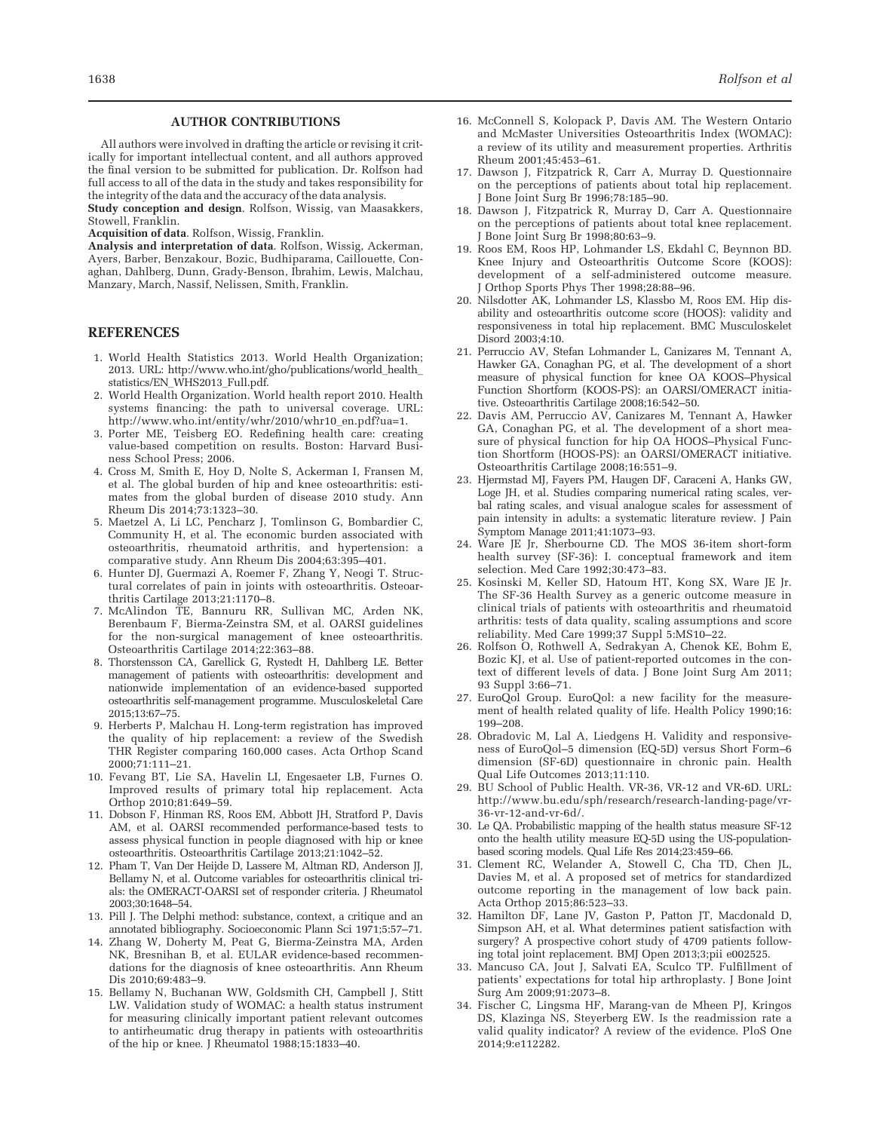#### AUTHOR CONTRIBUTIONS

All authors were involved in drafting the article or revising it critically for important intellectual content, and all authors approved the final version to be submitted for publication. Dr. Rolfson had full access to all of the data in the study and takes responsibility for the integrity of the data and the accuracy of the data analysis.

Study conception and design. Rolfson, Wissig, van Maasakkers, Stowell, Franklin.

Acquisition of data. Rolfson, Wissig, Franklin.

Analysis and interpretation of data. Rolfson, Wissig, Ackerman, Ayers, Barber, Benzakour, Bozic, Budhiparama, Caillouette, Conaghan, Dahlberg, Dunn, Grady-Benson, Ibrahim, Lewis, Malchau, Manzary, March, Nassif, Nelissen, Smith, Franklin.

#### REFERENCES

- 1. World Health Statistics 2013. World Health Organization; 2013. URL: [http://www.who.int/gho/publications/world\\_health\\_](http://www.who.int/gho/publications/world_health_statistics/EN_WHS2013_Full.pdf) [statistics/EN\\_WHS2013\\_Full.pdf.](http://www.who.int/gho/publications/world_health_statistics/EN_WHS2013_Full.pdf)
- 2. World Health Organization. World health report 2010. Health systems financing: the path to universal coverage. URL: [http://www.who.int/entity/whr/2010/whr10\\_en.pdf?ua=1](http://www.who.int/entity/whr/2010/whr10_en.pdf?ua=1).
- 3. Porter ME, Teisberg EO. Redefining health care: creating value-based competition on results. Boston: Harvard Business School Press; 2006.
- 4. Cross M, Smith E, Hoy D, Nolte S, Ackerman I, Fransen M, et al. The global burden of hip and knee osteoarthritis: estimates from the global burden of disease 2010 study. Ann Rheum Dis 2014;73:1323–30.
- 5. Maetzel A, Li LC, Pencharz J, Tomlinson G, Bombardier C, Community H, et al. The economic burden associated with osteoarthritis, rheumatoid arthritis, and hypertension: a comparative study. Ann Rheum Dis 2004;63:395–401.
- 6. Hunter DJ, Guermazi A, Roemer F, Zhang Y, Neogi T. Structural correlates of pain in joints with osteoarthritis. Osteoarthritis Cartilage 2013;21:1170–8.
- 7. McAlindon TE, Bannuru RR, Sullivan MC, Arden NK, Berenbaum F, Bierma-Zeinstra SM, et al. OARSI guidelines for the non-surgical management of knee osteoarthritis. Osteoarthritis Cartilage 2014;22:363–88.
- 8. Thorstensson CA, Garellick G, Rystedt H, Dahlberg LE. Better management of patients with osteoarthritis: development and nationwide implementation of an evidence-based supported osteoarthritis self-management programme. Musculoskeletal Care 2015;13:67–75.
- 9. Herberts P, Malchau H. Long-term registration has improved the quality of hip replacement: a review of the Swedish THR Register comparing 160,000 cases. Acta Orthop Scand 2000;71:111–21.
- 10. Fevang BT, Lie SA, Havelin LI, Engesaeter LB, Furnes O. Improved results of primary total hip replacement. Acta Orthop 2010;81:649–59.
- 11. Dobson F, Hinman RS, Roos EM, Abbott JH, Stratford P, Davis AM, et al. OARSI recommended performance-based tests to assess physical function in people diagnosed with hip or knee osteoarthritis. Osteoarthritis Cartilage 2013;21:1042–52.
- 12. Pham T, Van Der Heijde D, Lassere M, Altman RD, Anderson JJ, Bellamy N, et al. Outcome variables for osteoarthritis clinical trials: the OMERACT-OARSI set of responder criteria. J Rheumatol 2003;30:1648–54.
- 13. Pill J. The Delphi method: substance, context, a critique and an annotated bibliography. Socioeconomic Plann Sci 1971;5:57–71.
- 14. Zhang W, Doherty M, Peat G, Bierma-Zeinstra MA, Arden NK, Bresnihan B, et al. EULAR evidence-based recommendations for the diagnosis of knee osteoarthritis. Ann Rheum Dis 2010;69:483–9.
- 15. Bellamy N, Buchanan WW, Goldsmith CH, Campbell J, Stitt LW. Validation study of WOMAC: a health status instrument for measuring clinically important patient relevant outcomes to antirheumatic drug therapy in patients with osteoarthritis of the hip or knee. J Rheumatol 1988;15:1833–40.
- 16. McConnell S, Kolopack P, Davis AM. The Western Ontario and McMaster Universities Osteoarthritis Index (WOMAC): a review of its utility and measurement properties. Arthritis Rheum 2001;45:453–61.
- 17. Dawson J, Fitzpatrick R, Carr A, Murray D. Questionnaire on the perceptions of patients about total hip replacement. J Bone Joint Surg Br 1996;78:185–90.
- 18. Dawson J, Fitzpatrick R, Murray D, Carr A. Questionnaire on the perceptions of patients about total knee replacement. J Bone Joint Surg Br 1998;80:63–9.
- 19. Roos EM, Roos HP, Lohmander LS, Ekdahl C, Beynnon BD. Knee Injury and Osteoarthritis Outcome Score (KOOS): development of a self-administered outcome measure. J Orthop Sports Phys Ther 1998;28:88–96.
- 20. Nilsdotter AK, Lohmander LS, Klassbo M, Roos EM. Hip disability and osteoarthritis outcome score (HOOS): validity and responsiveness in total hip replacement. BMC Musculoskelet Disord 2003;4:10.
- 21. Perruccio AV, Stefan Lohmander L, Canizares M, Tennant A, Hawker GA, Conaghan PG, et al. The development of a short measure of physical function for knee OA KOOS–Physical Function Shortform (KOOS-PS): an OARSI/OMERACT initiative. Osteoarthritis Cartilage 2008;16:542–50.
- 22. Davis AM, Perruccio AV, Canizares M, Tennant A, Hawker GA, Conaghan PG, et al. The development of a short measure of physical function for hip OA HOOS–Physical Function Shortform (HOOS-PS): an OARSI/OMERACT initiative. Osteoarthritis Cartilage 2008;16:551–9.
- 23. Hjermstad MJ, Fayers PM, Haugen DF, Caraceni A, Hanks GW, Loge JH, et al. Studies comparing numerical rating scales, verbal rating scales, and visual analogue scales for assessment of pain intensity in adults: a systematic literature review. J Pain Symptom Manage 2011;41:1073–93.
- 24. Ware JE Jr, Sherbourne CD. The MOS 36-item short-form health survey (SF-36): I. conceptual framework and item selection. Med Care 1992;30:473–83.
- 25. Kosinski M, Keller SD, Hatoum HT, Kong SX, Ware JE Jr. The SF-36 Health Survey as a generic outcome measure in clinical trials of patients with osteoarthritis and rheumatoid arthritis: tests of data quality, scaling assumptions and score reliability. Med Care 1999;37 Suppl 5:MS10–22.
- 26. Rolfson O, Rothwell A, Sedrakyan A, Chenok KE, Bohm E, Bozic KJ, et al. Use of patient-reported outcomes in the context of different levels of data. J Bone Joint Surg Am 2011; 93 Suppl 3:66–71.
- 27. EuroQol Group. EuroQol: a new facility for the measurement of health related quality of life. Health Policy 1990;16: 199–208.
- 28. Obradovic M, Lal A, Liedgens H. Validity and responsiveness of EuroQol–5 dimension (EQ-5D) versus Short Form–6 dimension (SF-6D) questionnaire in chronic pain. Health Qual Life Outcomes 2013;11:110.
- 29. BU School of Public Health. VR-36, VR-12 and VR-6D. URL: [http://www.bu.edu/sph/research/research-landing-page/vr-](http://www.bu.edu/sph/research/research-landing-page/vr-0000-vr-0000-and-vr-0000d/)[36-vr-12-and-vr-6d/](http://www.bu.edu/sph/research/research-landing-page/vr-0000-vr-0000-and-vr-0000d/).
- 30. Le QA. Probabilistic mapping of the health status measure SF-12 onto the health utility measure EQ-5D using the US-populationbased scoring models. Qual Life Res 2014;23:459–66.
- 31. Clement RC, Welander A, Stowell C, Cha TD, Chen JL, Davies M, et al. A proposed set of metrics for standardized outcome reporting in the management of low back pain. Acta Orthop 2015;86:523–33.
- 32. Hamilton DF, Lane JV, Gaston P, Patton JT, Macdonald D, Simpson AH, et al. What determines patient satisfaction with surgery? A prospective cohort study of 4709 patients following total joint replacement. BMJ Open 2013;3;pii e002525.
- 33. Mancuso CA, Jout J, Salvati EA, Sculco TP. Fulfillment of patients' expectations for total hip arthroplasty. J Bone Joint Surg Am 2009;91:2073–8.
- 34. Fischer C, Lingsma HF, Marang-van de Mheen PJ, Kringos DS, Klazinga NS, Steyerberg EW. Is the readmission rate a valid quality indicator? A review of the evidence. PloS One 2014;9:e112282.